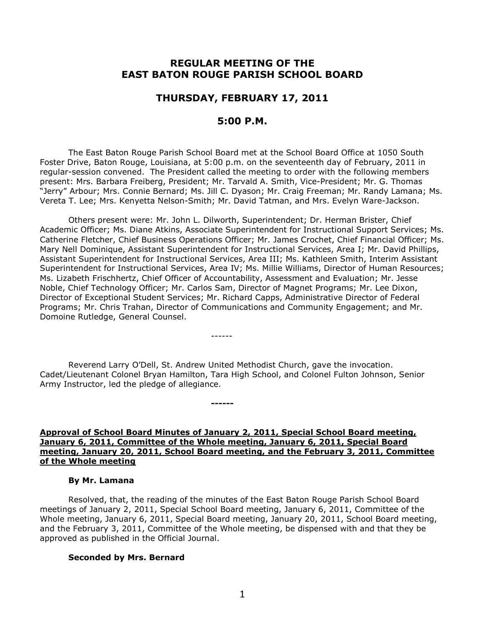# **REGULAR MEETING OF THE EAST BATON ROUGE PARISH SCHOOL BOARD**

### **THURSDAY, FEBRUARY 17, 2011**

# **5:00 P.M.**

The East Baton Rouge Parish School Board met at the School Board Office at 1050 South Foster Drive, Baton Rouge, Louisiana, at 5:00 p.m. on the seventeenth day of February, 2011 in regular-session convened. The President called the meeting to order with the following members present: Mrs. Barbara Freiberg, President; Mr. Tarvald A. Smith, Vice-President; Mr. G. Thomas "Jerry" Arbour; Mrs. Connie Bernard; Ms. Jill C. Dyason; Mr. Craig Freeman; Mr. Randy Lamana; Ms. Vereta T. Lee; Mrs. Kenyetta Nelson-Smith; Mr. David Tatman, and Mrs. Evelyn Ware-Jackson.

Others present were: Mr. John L. Dilworth, Superintendent; Dr. Herman Brister, Chief Academic Officer; Ms. Diane Atkins, Associate Superintendent for Instructional Support Services; Ms. Catherine Fletcher, Chief Business Operations Officer; Mr. James Crochet, Chief Financial Officer; Ms. Mary Nell Dominique, Assistant Superintendent for Instructional Services, Area I; Mr. David Phillips, Assistant Superintendent for Instructional Services, Area III; Ms. Kathleen Smith, Interim Assistant Superintendent for Instructional Services, Area IV; Ms. Millie Williams, Director of Human Resources; Ms. Lizabeth Frischhertz, Chief Officer of Accountability, Assessment and Evaluation; Mr. Jesse Noble, Chief Technology Officer; Mr. Carlos Sam, Director of Magnet Programs; Mr. Lee Dixon, Director of Exceptional Student Services; Mr. Richard Capps, Administrative Director of Federal Programs; Mr. Chris Trahan, Director of Communications and Community Engagement; and Mr. Domoine Rutledge, General Counsel.

Reverend Larry O'Dell, St. Andrew United Methodist Church, gave the invocation. Cadet/Lieutenant Colonel Bryan Hamilton, Tara High School, and Colonel Fulton Johnson, Senior Army Instructor, led the pledge of allegiance.

------

**------**

### **Approval of School Board Minutes of January 2, 2011, Special School Board meeting, January 6, 2011, Committee of the Whole meeting, January 6, 2011, Special Board meeting, January 20, 2011, School Board meeting, and the February 3, 2011, Committee of the Whole meeting**

#### **By Mr. Lamana**

Resolved, that, the reading of the minutes of the East Baton Rouge Parish School Board meetings of January 2, 2011, Special School Board meeting, January 6, 2011, Committee of the Whole meeting, January 6, 2011, Special Board meeting, January 20, 2011, School Board meeting, and the February 3, 2011, Committee of the Whole meeting, be dispensed with and that they be approved as published in the Official Journal.

#### **Seconded by Mrs. Bernard**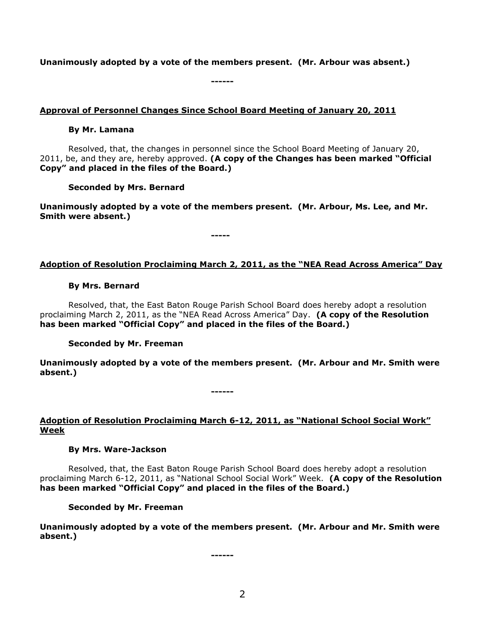**Unanimously adopted by a vote of the members present. (Mr. Arbour was absent.)**

**------**

### **Approval of Personnel Changes Since School Board Meeting of January 20, 2011**

### **By Mr. Lamana**

Resolved, that, the changes in personnel since the School Board Meeting of January 20, 2011, be, and they are, hereby approved. **(A copy of the Changes has been marked "Official Copy" and placed in the files of the Board.)**

**Seconded by Mrs. Bernard**

**Unanimously adopted by a vote of the members present. (Mr. Arbour, Ms. Lee, and Mr. Smith were absent.)**

**-----**

# **Adoption of Resolution Proclaiming March 2, 2011, as the "NEA Read Across America" Day**

### **By Mrs. Bernard**

Resolved, that, the East Baton Rouge Parish School Board does hereby adopt a resolution proclaiming March 2, 2011, as the "NEA Read Across America" Day. **(A copy of the Resolution has been marked "Official Copy" and placed in the files of the Board.)**

### **Seconded by Mr. Freeman**

**Unanimously adopted by a vote of the members present. (Mr. Arbour and Mr. Smith were absent.)**

**------**

# **Adoption of Resolution Proclaiming March 6-12, 2011, as "National School Social Work" Week**

### **By Mrs. Ware-Jackson**

Resolved, that, the East Baton Rouge Parish School Board does hereby adopt a resolution proclaiming March 6-12, 2011, as "National School Social Work" Week. **(A copy of the Resolution has been marked "Official Copy" and placed in the files of the Board.)**

**Seconded by Mr. Freeman**

**Unanimously adopted by a vote of the members present. (Mr. Arbour and Mr. Smith were absent.)**

**------**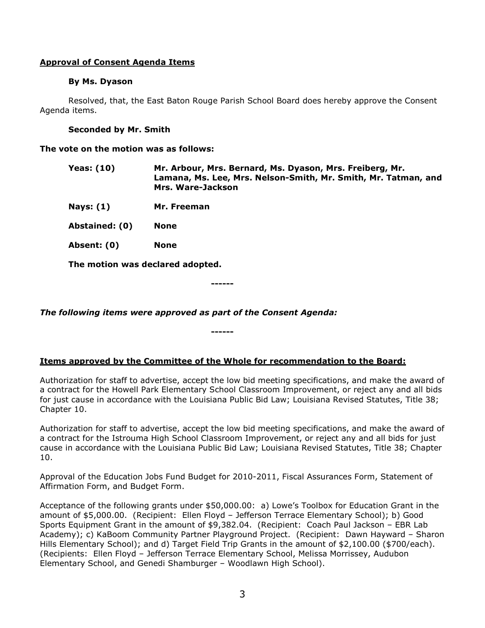### **Approval of Consent Agenda Items**

### **By Ms. Dyason**

Resolved, that, the East Baton Rouge Parish School Board does hereby approve the Consent Agenda items.

### **Seconded by Mr. Smith**

**The vote on the motion was as follows:**

- **Yeas: (10) Mr. Arbour, Mrs. Bernard, Ms. Dyason, Mrs. Freiberg, Mr. Lamana, Ms. Lee, Mrs. Nelson-Smith, Mr. Smith, Mr. Tatman, and Mrs. Ware-Jackson**
- **Nays: (1) Mr. Freeman**
- **Abstained: (0) None**
- **Absent: (0) None**

**The motion was declared adopted.**

**------**

*The following items were approved as part of the Consent Agenda:*

# **Items approved by the Committee of the Whole for recommendation to the Board:**

**------**

Authorization for staff to advertise, accept the low bid meeting specifications, and make the award of a contract for the Howell Park Elementary School Classroom Improvement, or reject any and all bids for just cause in accordance with the Louisiana Public Bid Law; Louisiana Revised Statutes, Title 38; Chapter 10.

Authorization for staff to advertise, accept the low bid meeting specifications, and make the award of a contract for the Istrouma High School Classroom Improvement, or reject any and all bids for just cause in accordance with the Louisiana Public Bid Law; Louisiana Revised Statutes, Title 38; Chapter 10.

Approval of the Education Jobs Fund Budget for 2010-2011, Fiscal Assurances Form, Statement of Affirmation Form, and Budget Form.

Acceptance of the following grants under \$50,000.00: a) Lowe's Toolbox for Education Grant in the amount of \$5,000.00. (Recipient: Ellen Floyd – Jefferson Terrace Elementary School); b) Good Sports Equipment Grant in the amount of \$9,382.04. (Recipient: Coach Paul Jackson – EBR Lab Academy); c) KaBoom Community Partner Playground Project. (Recipient: Dawn Hayward – Sharon Hills Elementary School); and d) Target Field Trip Grants in the amount of \$2,100.00 (\$700/each). (Recipients: Ellen Floyd – Jefferson Terrace Elementary School, Melissa Morrissey, Audubon Elementary School, and Genedi Shamburger – Woodlawn High School).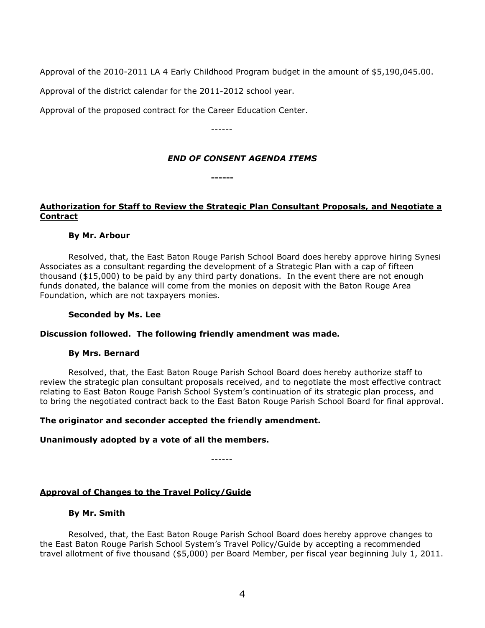Approval of the 2010-2011 LA 4 Early Childhood Program budget in the amount of \$5,190,045.00.

Approval of the district calendar for the 2011-2012 school year.

Approval of the proposed contract for the Career Education Center.

------

### *END OF CONSENT AGENDA ITEMS*

**------**

# **Authorization for Staff to Review the Strategic Plan Consultant Proposals, and Negotiate a Contract**

### **By Mr. Arbour**

Resolved, that, the East Baton Rouge Parish School Board does hereby approve hiring Synesi Associates as a consultant regarding the development of a Strategic Plan with a cap of fifteen thousand (\$15,000) to be paid by any third party donations. In the event there are not enough funds donated, the balance will come from the monies on deposit with the Baton Rouge Area Foundation, which are not taxpayers monies.

#### **Seconded by Ms. Lee**

### **Discussion followed. The following friendly amendment was made.**

### **By Mrs. Bernard**

Resolved, that, the East Baton Rouge Parish School Board does hereby authorize staff to review the strategic plan consultant proposals received, and to negotiate the most effective contract relating to East Baton Rouge Parish School System's continuation of its strategic plan process, and to bring the negotiated contract back to the East Baton Rouge Parish School Board for final approval.

### **The originator and seconder accepted the friendly amendment.**

### **Unanimously adopted by a vote of all the members.**

------

### **Approval of Changes to the Travel Policy/Guide**

#### **By Mr. Smith**

Resolved, that, the East Baton Rouge Parish School Board does hereby approve changes to the East Baton Rouge Parish School System's Travel Policy/Guide by accepting a recommended travel allotment of five thousand (\$5,000) per Board Member, per fiscal year beginning July 1, 2011.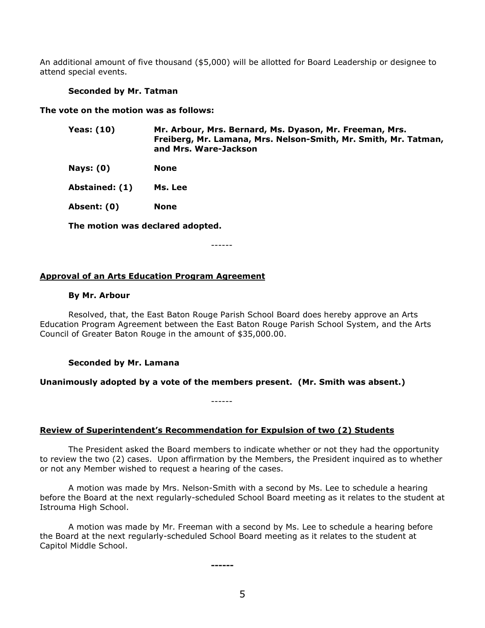An additional amount of five thousand (\$5,000) will be allotted for Board Leadership or designee to attend special events.

#### **Seconded by Mr. Tatman**

**The vote on the motion was as follows:**

| Yeas: (10) | Mr. Arbour, Mrs. Bernard, Ms. Dyason, Mr. Freeman, Mrs.         |
|------------|-----------------------------------------------------------------|
|            | Freiberg, Mr. Lamana, Mrs. Nelson-Smith, Mr. Smith, Mr. Tatman, |
|            | and Mrs. Ware-Jackson                                           |

**Nays: (0) None**

**Abstained: (1) Ms. Lee**

**Absent: (0) None**

**The motion was declared adopted.**

------

#### **Approval of an Arts Education Program Agreement**

#### **By Mr. Arbour**

Resolved, that, the East Baton Rouge Parish School Board does hereby approve an Arts Education Program Agreement between the East Baton Rouge Parish School System, and the Arts Council of Greater Baton Rouge in the amount of \$35,000.00.

#### **Seconded by Mr. Lamana**

### **Unanimously adopted by a vote of the members present. (Mr. Smith was absent.)**

------

### **Review of Superintendent's Recommendation for Expulsion of two (2) Students**

The President asked the Board members to indicate whether or not they had the opportunity to review the two (2) cases. Upon affirmation by the Members, the President inquired as to whether or not any Member wished to request a hearing of the cases.

A motion was made by Mrs. Nelson-Smith with a second by Ms. Lee to schedule a hearing before the Board at the next regularly-scheduled School Board meeting as it relates to the student at Istrouma High School.

A motion was made by Mr. Freeman with a second by Ms. Lee to schedule a hearing before the Board at the next regularly-scheduled School Board meeting as it relates to the student at Capitol Middle School.

**------**